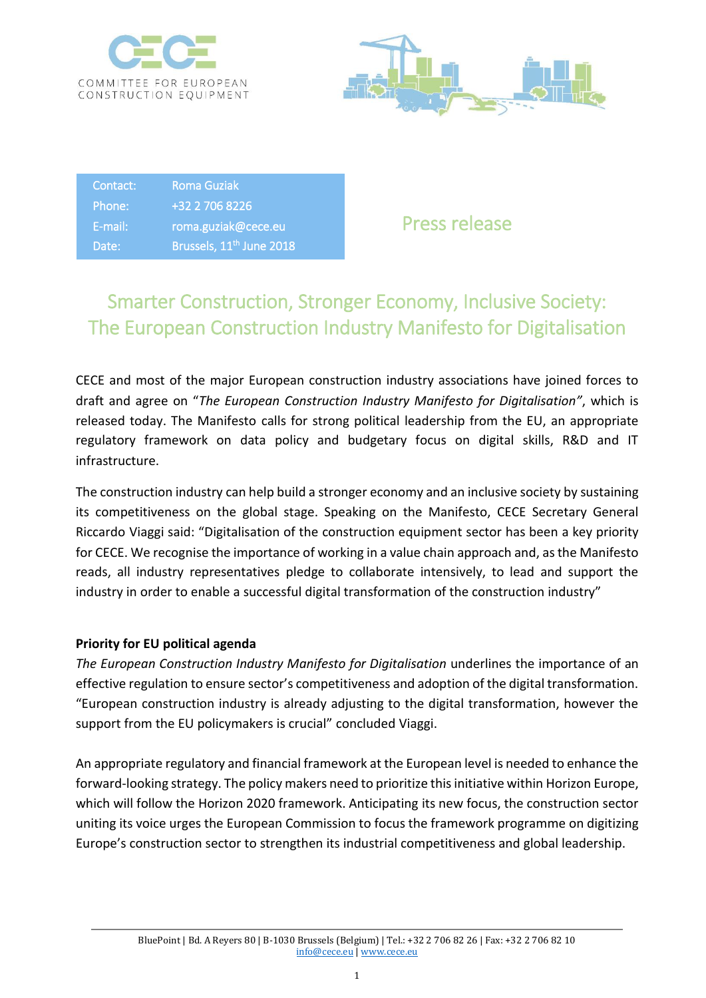



Contact: Roma Guziak Phone: +32 2 706 8226 E-mail: roma.guziak@cece.eu Date: Brussels,  $11<sup>th</sup>$  June 2018

Press release

## Smarter Construction, Stronger Economy, Inclusive Society: The European Construction Industry Manifesto for Digitalisation

CECE and most of the major European construction industry associations have joined forces to draft and agree on "*The European Construction Industry Manifesto for Digitalisation"*, which is released today. The Manifesto calls for strong political leadership from the EU, an appropriate regulatory framework on data policy and budgetary focus on digital skills, R&D and IT infrastructure.

The construction industry can help build a stronger economy and an inclusive society by sustaining its competitiveness on the global stage. Speaking on the Manifesto, CECE Secretary General Riccardo Viaggi said: "Digitalisation of the construction equipment sector has been a key priority for CECE. We recognise the importance of working in a value chain approach and, as the Manifesto reads, all industry representatives pledge to collaborate intensively, to lead and support the industry in order to enable a successful digital transformation of the construction industry"

## **Priority for EU political agenda**

*The European Construction Industry Manifesto for Digitalisation* underlines the importance of an effective regulation to ensure sector's competitiveness and adoption of the digital transformation. "European construction industry is already adjusting to the digital transformation, however the support from the EU policymakers is crucial" concluded Viaggi.

An appropriate regulatory and financial framework at the European level is needed to enhance the forward-looking strategy. The policy makers need to prioritize this initiative within Horizon Europe, which will follow the Horizon 2020 framework. Anticipating its new focus, the construction sector uniting its voice urges the European Commission to focus the framework programme on digitizing Europe's construction sector to strengthen its industrial competitiveness and global leadership.